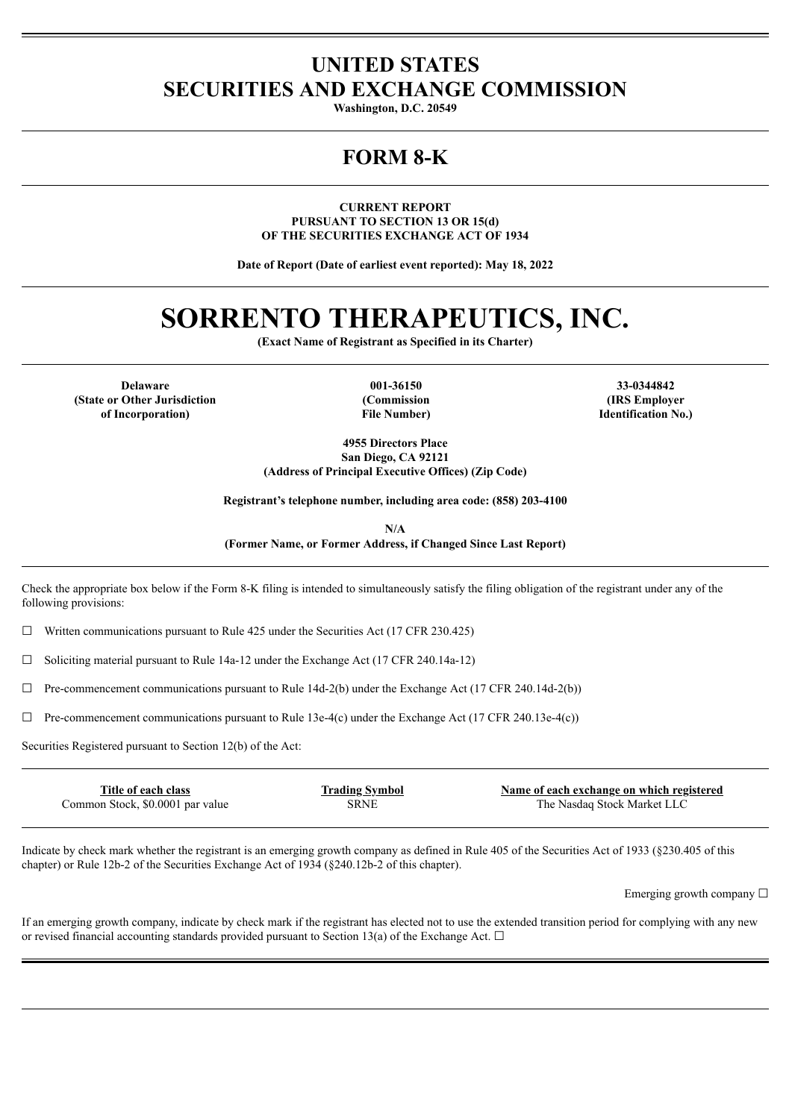# **UNITED STATES SECURITIES AND EXCHANGE COMMISSION**

**Washington, D.C. 20549**

# **FORM 8-K**

**CURRENT REPORT PURSUANT TO SECTION 13 OR 15(d) OF THE SECURITIES EXCHANGE ACT OF 1934**

**Date of Report (Date of earliest event reported): May 18, 2022**

# **SORRENTO THERAPEUTICS, INC.**

**(Exact Name of Registrant as Specified in its Charter)**

**Delaware 001-36150 33-0344842 (State or Other Jurisdiction of Incorporation)**

**(Commission File Number)**

**(IRS Employer Identification No.)**

**4955 Directors Place San Diego, CA 92121 (Address of Principal Executive Offices) (Zip Code)**

**Registrant's telephone number, including area code: (858) 203-4100**

**N/A (Former Name, or Former Address, if Changed Since Last Report)**

Check the appropriate box below if the Form 8-K filing is intended to simultaneously satisfy the filing obligation of the registrant under any of the following provisions:

 $\Box$  Written communications pursuant to Rule 425 under the Securities Act (17 CFR 230.425)

☐ Soliciting material pursuant to Rule 14a-12 under the Exchange Act (17 CFR 240.14a-12)

 $\Box$  Pre-commencement communications pursuant to Rule 14d-2(b) under the Exchange Act (17 CFR 240.14d-2(b))

☐ Pre-commencement communications pursuant to Rule 13e-4(c) under the Exchange Act (17 CFR 240.13e-4(c))

Securities Registered pursuant to Section 12(b) of the Act:

| Title of each class              | <b>Trading Symbol</b> | Name of each exchange on which registered |
|----------------------------------|-----------------------|-------------------------------------------|
| Common Stock, \$0.0001 par value | SRNE                  | The Nasdaq Stock Market LLC               |
|                                  |                       |                                           |

Indicate by check mark whether the registrant is an emerging growth company as defined in Rule 405 of the Securities Act of 1933 (§230.405 of this chapter) or Rule 12b-2 of the Securities Exchange Act of 1934 (§240.12b-2 of this chapter).

Emerging growth company ☐

If an emerging growth company, indicate by check mark if the registrant has elected not to use the extended transition period for complying with any new or revised financial accounting standards provided pursuant to Section 13(a) of the Exchange Act.  $\Box$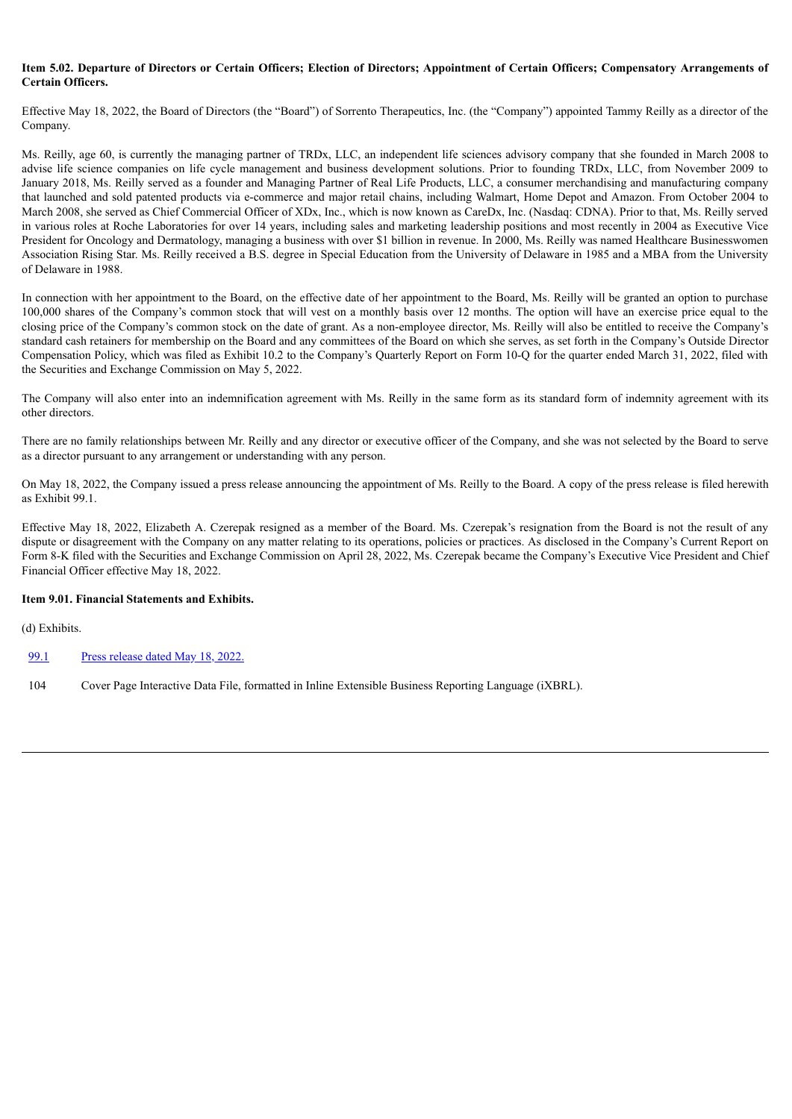## Item 5.02. Departure of Directors or Certain Officers: Election of Directors: Appointment of Certain Officers: Compensatory Arrangements of **Certain Officers.**

Effective May 18, 2022, the Board of Directors (the "Board") of Sorrento Therapeutics, Inc. (the "Company") appointed Tammy Reilly as a director of the Company.

Ms. Reilly, age 60, is currently the managing partner of TRDx, LLC, an independent life sciences advisory company that she founded in March 2008 to advise life science companies on life cycle management and business development solutions. Prior to founding TRDx, LLC, from November 2009 to January 2018, Ms. Reilly served as a founder and Managing Partner of Real Life Products, LLC, a consumer merchandising and manufacturing company that launched and sold patented products via e-commerce and major retail chains, including Walmart, Home Depot and Amazon. From October 2004 to March 2008, she served as Chief Commercial Officer of XDx, Inc., which is now known as CareDx, Inc. (Nasdaq: CDNA). Prior to that, Ms. Reilly served in various roles at Roche Laboratories for over 14 years, including sales and marketing leadership positions and most recently in 2004 as Executive Vice President for Oncology and Dermatology, managing a business with over \$1 billion in revenue. In 2000, Ms. Reilly was named Healthcare Businesswomen Association Rising Star. Ms. Reilly received a B.S. degree in Special Education from the University of Delaware in 1985 and a MBA from the University of Delaware in 1988.

In connection with her appointment to the Board, on the effective date of her appointment to the Board, Ms. Reilly will be granted an option to purchase 100,000 shares of the Company's common stock that will vest on a monthly basis over 12 months. The option will have an exercise price equal to the closing price of the Company's common stock on the date of grant. As a non-employee director, Ms. Reilly will also be entitled to receive the Company's standard cash retainers for membership on the Board and any committees of the Board on which she serves, as set forth in the Company's Outside Director Compensation Policy, which was filed as Exhibit 10.2 to the Company's Quarterly Report on Form 10-Q for the quarter ended March 31, 2022, filed with the Securities and Exchange Commission on May 5, 2022.

The Company will also enter into an indemnification agreement with Ms. Reilly in the same form as its standard form of indemnity agreement with its other directors.

There are no family relationships between Mr. Reilly and any director or executive officer of the Company, and she was not selected by the Board to serve as a director pursuant to any arrangement or understanding with any person.

On May 18, 2022, the Company issued a press release announcing the appointment of Ms. Reilly to the Board. A copy of the press release is filed herewith as Exhibit 99.1.

Effective May 18, 2022, Elizabeth A. Czerepak resigned as a member of the Board. Ms. Czerepak's resignation from the Board is not the result of any dispute or disagreement with the Company on any matter relating to its operations, policies or practices. As disclosed in the Company's Current Report on Form 8-K filed with the Securities and Exchange Commission on April 28, 2022, Ms. Czerepak became the Company's Executive Vice President and Chief Financial Officer effective May 18, 2022.

# **Item 9.01. Financial Statements and Exhibits.**

(d) Exhibits.

[99.1](#page-3-0) Press [release](#page-3-0) dated May 18, 2022.

104 Cover Page Interactive Data File, formatted in Inline Extensible Business Reporting Language (iXBRL).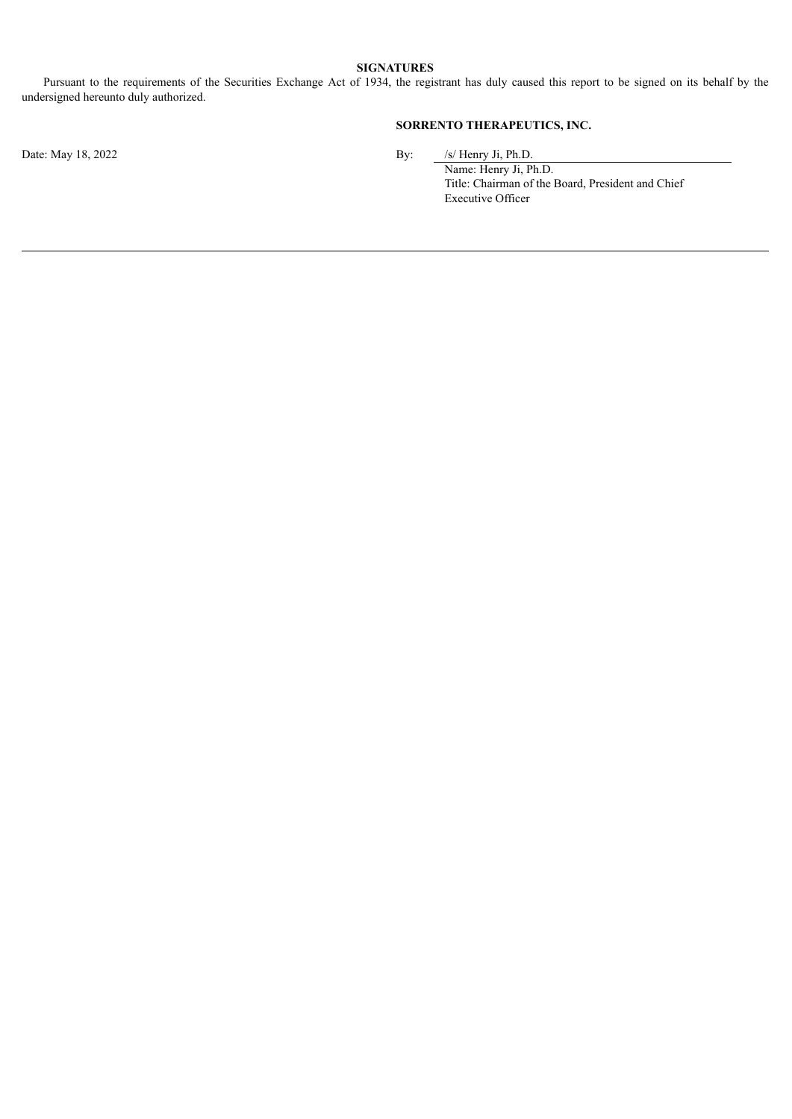## **SIGNATURES**

Pursuant to the requirements of the Securities Exchange Act of 1934, the registrant has duly caused this report to be signed on its behalf by the undersigned hereunto duly authorized.

# **SORRENTO THERAPEUTICS, INC.**

Date: May 18, 2022 By: /s/ Henry Ji, Ph.D.

Name: Henry Ji, Ph.D. Title: Chairman of the Board, President and Chief Executive Officer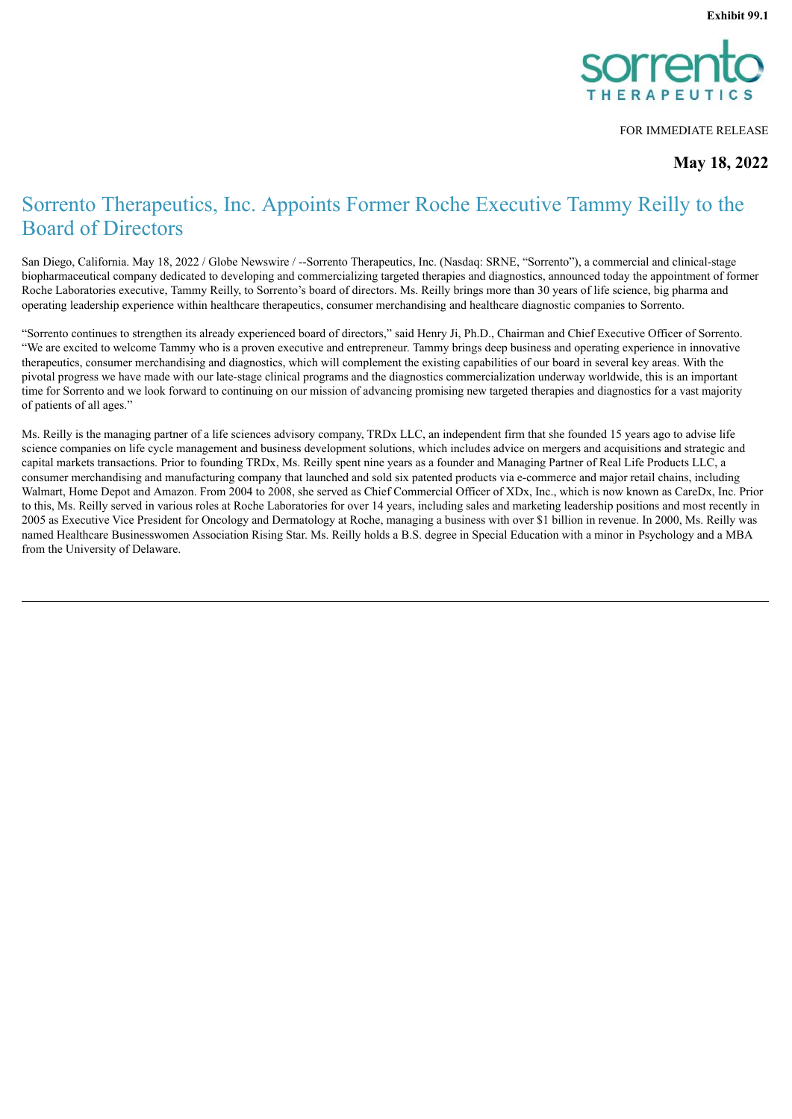

FOR IMMEDIATE RELEASE

**May 18, 2022**

# <span id="page-3-0"></span>Sorrento Therapeutics, Inc. Appoints Former Roche Executive Tammy Reilly to the Board of Directors

San Diego, California. May 18, 2022 / Globe Newswire / --Sorrento Therapeutics, Inc. (Nasdaq: SRNE, "Sorrento"), a commercial and clinical-stage biopharmaceutical company dedicated to developing and commercializing targeted therapies and diagnostics, announced today the appointment of former Roche Laboratories executive, Tammy Reilly, to Sorrento's board of directors. Ms. Reilly brings more than 30 years of life science, big pharma and operating leadership experience within healthcare therapeutics, consumer merchandising and healthcare diagnostic companies to Sorrento.

"Sorrento continues to strengthen its already experienced board of directors," said Henry Ji, Ph.D., Chairman and Chief Executive Officer of Sorrento. "We are excited to welcome Tammy who is a proven executive and entrepreneur. Tammy brings deep business and operating experience in innovative therapeutics, consumer merchandising and diagnostics, which will complement the existing capabilities of our board in several key areas. With the pivotal progress we have made with our late-stage clinical programs and the diagnostics commercialization underway worldwide, this is an important time for Sorrento and we look forward to continuing on our mission of advancing promising new targeted therapies and diagnostics for a vast majority of patients of all ages."

Ms. Reilly is the managing partner of a life sciences advisory company, TRDx LLC, an independent firm that she founded 15 years ago to advise life science companies on life cycle management and business development solutions, which includes advice on mergers and acquisitions and strategic and capital markets transactions. Prior to founding TRDx, Ms. Reilly spent nine years as a founder and Managing Partner of Real Life Products LLC, a consumer merchandising and manufacturing company that launched and sold six patented products via e-commerce and major retail chains, including Walmart, Home Depot and Amazon. From 2004 to 2008, she served as Chief Commercial Officer of XDx, Inc., which is now known as CareDx, Inc. Prior to this, Ms. Reilly served in various roles at Roche Laboratories for over 14 years, including sales and marketing leadership positions and most recently in 2005 as Executive Vice President for Oncology and Dermatology at Roche, managing a business with over \$1 billion in revenue. In 2000, Ms. Reilly was named Healthcare Businesswomen Association Rising Star. Ms. Reilly holds a B.S. degree in Special Education with a minor in Psychology and a MBA from the University of Delaware.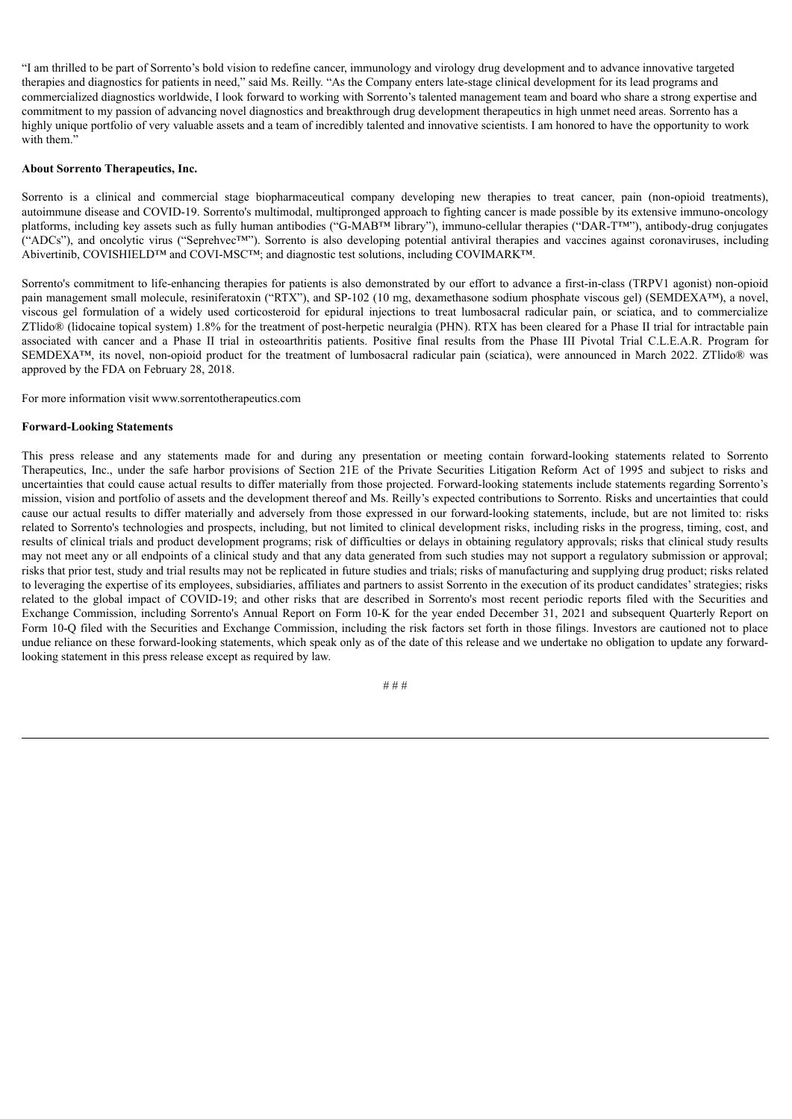"I am thrilled to be part of Sorrento's bold vision to redefine cancer, immunology and virology drug development and to advance innovative targeted therapies and diagnostics for patients in need," said Ms. Reilly. "As the Company enters late-stage clinical development for its lead programs and commercialized diagnostics worldwide, I look forward to working with Sorrento's talented management team and board who share a strong expertise and commitment to my passion of advancing novel diagnostics and breakthrough drug development therapeutics in high unmet need areas. Sorrento has a highly unique portfolio of very valuable assets and a team of incredibly talented and innovative scientists. I am honored to have the opportunity to work with them<sup>?</sup>

### **About Sorrento Therapeutics, Inc.**

Sorrento is a clinical and commercial stage biopharmaceutical company developing new therapies to treat cancer, pain (non-opioid treatments), autoimmune disease and COVID-19. Sorrento's multimodal, multipronged approach to fighting cancer is made possible by its extensive immuno-oncology platforms, including key assets such as fully human antibodies ("G-MAB™ library"), immuno-cellular therapies ("DAR-T™"), antibody-drug conjugates ("ADCs"), and oncolytic virus ("Seprehvec™"). Sorrento is also developing potential antiviral therapies and vaccines against coronaviruses, including Abivertinib, COVISHIELD™ and COVI-MSC™; and diagnostic test solutions, including COVIMARK™.

Sorrento's commitment to life-enhancing therapies for patients is also demonstrated by our effort to advance a first-in-class (TRPV1 agonist) non-opioid pain management small molecule, resiniferatoxin ("RTX"), and SP-102 (10 mg, dexamethasone sodium phosphate viscous gel) (SEMDEXA™), a novel, viscous gel formulation of a widely used corticosteroid for epidural injections to treat lumbosacral radicular pain, or sciatica, and to commercialize ZTlido® (lidocaine topical system) 1.8% for the treatment of post-herpetic neuralgia (PHN). RTX has been cleared for a Phase II trial for intractable pain associated with cancer and a Phase II trial in osteoarthritis patients. Positive final results from the Phase III Pivotal Trial C.L.E.A.R. Program for SEMDEXA™, its novel, non-opioid product for the treatment of lumbosacral radicular pain (sciatica), were announced in March 2022. ZTlido® was approved by the FDA on February 28, 2018.

For more information visit www.sorrentotherapeutics.com

### **Forward-Looking Statements**

This press release and any statements made for and during any presentation or meeting contain forward-looking statements related to Sorrento Therapeutics, Inc., under the safe harbor provisions of Section 21E of the Private Securities Litigation Reform Act of 1995 and subject to risks and uncertainties that could cause actual results to differ materially from those projected. Forward-looking statements include statements regarding Sorrento's mission, vision and portfolio of assets and the development thereof and Ms. Reilly's expected contributions to Sorrento. Risks and uncertainties that could cause our actual results to differ materially and adversely from those expressed in our forward-looking statements, include, but are not limited to: risks related to Sorrento's technologies and prospects, including, but not limited to clinical development risks, including risks in the progress, timing, cost, and results of clinical trials and product development programs; risk of difficulties or delays in obtaining regulatory approvals; risks that clinical study results may not meet any or all endpoints of a clinical study and that any data generated from such studies may not support a regulatory submission or approval; risks that prior test, study and trial results may not be replicated in future studies and trials; risks of manufacturing and supplying drug product; risks related to leveraging the expertise of its employees, subsidiaries, affiliates and partners to assist Sorrento in the execution of its product candidates'strategies; risks related to the global impact of COVID-19; and other risks that are described in Sorrento's most recent periodic reports filed with the Securities and Exchange Commission, including Sorrento's Annual Report on Form 10-K for the year ended December 31, 2021 and subsequent Quarterly Report on Form 10-Q filed with the Securities and Exchange Commission, including the risk factors set forth in those filings. Investors are cautioned not to place undue reliance on these forward-looking statements, which speak only as of the date of this release and we undertake no obligation to update any forwardlooking statement in this press release except as required by law.

# # #